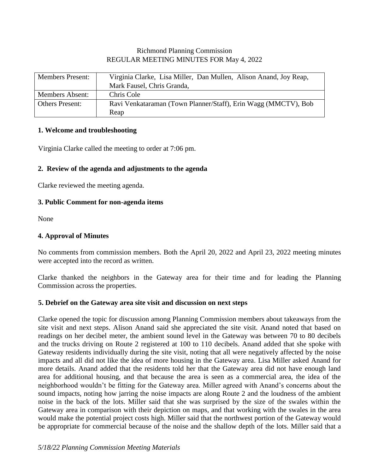# Richmond Planning Commission REGULAR MEETING MINUTES FOR May 4, 2022

| <b>Members Present:</b> | Virginia Clarke, Lisa Miller, Dan Mullen, Alison Anand, Joy Reap, |
|-------------------------|-------------------------------------------------------------------|
|                         | Mark Fausel, Chris Granda,                                        |
| <b>Members Absent:</b>  | Chris Cole                                                        |
| <b>Others Present:</b>  | Ravi Venkataraman (Town Planner/Staff), Erin Wagg (MMCTV), Bob    |
|                         | Reap                                                              |

## **1. Welcome and troubleshooting**

Virginia Clarke called the meeting to order at 7:06 pm.

# **2. Review of the agenda and adjustments to the agenda**

Clarke reviewed the meeting agenda.

# **3. Public Comment for non-agenda items**

None

# **4. Approval of Minutes**

No comments from commission members. Both the April 20, 2022 and April 23, 2022 meeting minutes were accepted into the record as written.

Clarke thanked the neighbors in the Gateway area for their time and for leading the Planning Commission across the properties.

# **5. Debrief on the Gateway area site visit and discussion on next steps**

Clarke opened the topic for discussion among Planning Commission members about takeaways from the site visit and next steps. Alison Anand said she appreciated the site visit. Anand noted that based on readings on her decibel meter, the ambient sound level in the Gateway was between 70 to 80 decibels and the trucks driving on Route 2 registered at 100 to 110 decibels. Anand added that she spoke with Gateway residents individually during the site visit, noting that all were negatively affected by the noise impacts and all did not like the idea of more housing in the Gateway area. Lisa Miller asked Anand for more details. Anand added that the residents told her that the Gateway area did not have enough land area for additional housing, and that because the area is seen as a commercial area, the idea of the neighborhood wouldn't be fitting for the Gateway area. Miller agreed with Anand's concerns about the sound impacts, noting how jarring the noise impacts are along Route 2 and the loudness of the ambient noise in the back of the lots. Miller said that she was surprised by the size of the swales within the Gateway area in comparison with their depiction on maps, and that working with the swales in the area would make the potential project costs high. Miller said that the northwest portion of the Gateway would be appropriate for commercial because of the noise and the shallow depth of the lots. Miller said that a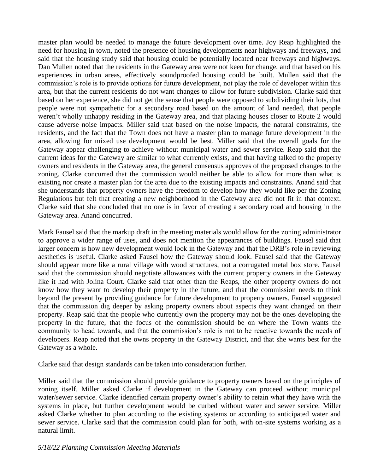master plan would be needed to manage the future development over time. Joy Reap highlighted the need for housing in town, noted the presence of housing developments near highways and freeways, and said that the housing study said that housing could be potentially located near freeways and highways. Dan Mullen noted that the residents in the Gateway area were not keen for change, and that based on his experiences in urban areas, effectively soundproofed housing could be built. Mullen said that the commission's role is to provide options for future development, not play the role of developer within this area, but that the current residents do not want changes to allow for future subdivision. Clarke said that based on her experience, she did not get the sense that people were opposed to subdividing their lots, that people were not sympathetic for a secondary road based on the amount of land needed, that people weren't wholly unhappy residing in the Gateway area, and that placing houses closer to Route 2 would cause adverse noise impacts. Miller said that based on the noise impacts, the natural constraints, the residents, and the fact that the Town does not have a master plan to manage future development in the area, allowing for mixed use development would be best. Miller said that the overall goals for the Gateway appear challenging to achieve without municipal water and sewer service. Reap said that the current ideas for the Gateway are similar to what currently exists, and that having talked to the property owners and residents in the Gateway area, the general consensus approves of the proposed changes to the zoning. Clarke concurred that the commission would neither be able to allow for more than what is existing nor create a master plan for the area due to the existing impacts and constraints. Anand said that she understands that property owners have the freedom to develop how they would like per the Zoning Regulations but felt that creating a new neighborhood in the Gateway area did not fit in that context. Clarke said that she concluded that no one is in favor of creating a secondary road and housing in the Gateway area. Anand concurred.

Mark Fausel said that the markup draft in the meeting materials would allow for the zoning administrator to approve a wider range of uses, and does not mention the appearances of buildings. Fausel said that larger concern is how new development would look in the Gateway and that the DRB's role in reviewing aesthetics is useful. Clarke asked Fausel how the Gateway should look. Fausel said that the Gateway should appear more like a rural village with wood structures, not a corrugated metal box store. Fausel said that the commission should negotiate allowances with the current property owners in the Gateway like it had with Jolina Court. Clarke said that other than the Reaps, the other property owners do not know how they want to develop their property in the future, and that the commission needs to think beyond the present by providing guidance for future development to property owners. Fausel suggested that the commission dig deeper by asking property owners about aspects they want changed on their property. Reap said that the people who currently own the property may not be the ones developing the property in the future, that the focus of the commission should be on where the Town wants the community to head towards, and that the commission's role is not to be reactive towards the needs of developers. Reap noted that she owns property in the Gateway District, and that she wants best for the Gateway as a whole.

Clarke said that design standards can be taken into consideration further.

Miller said that the commission should provide guidance to property owners based on the principles of zoning itself. Miller asked Clarke if development in the Gateway can proceed without municipal water/sewer service. Clarke identified certain property owner's ability to retain what they have with the systems in place, but further development would be curbed without water and sewer service. Miller asked Clarke whether to plan according to the existing systems or according to anticipated water and sewer service. Clarke said that the commission could plan for both, with on-site systems working as a natural limit.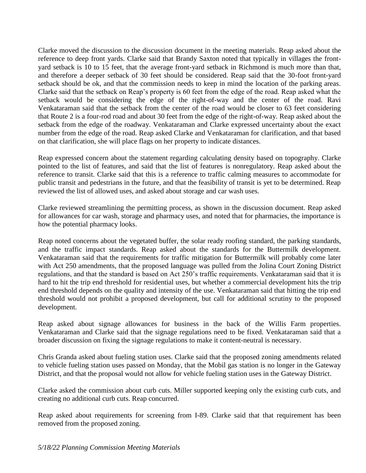Clarke moved the discussion to the discussion document in the meeting materials. Reap asked about the reference to deep front yards. Clarke said that Brandy Saxton noted that typically in villages the frontyard setback is 10 to 15 feet, that the average front-yard setback in Richmond is much more than that, and therefore a deeper setback of 30 feet should be considered. Reap said that the 30-foot front-yard setback should be ok, and that the commission needs to keep in mind the location of the parking areas. Clarke said that the setback on Reap's property is 60 feet from the edge of the road. Reap asked what the setback would be considering the edge of the right-of-way and the center of the road. Ravi Venkataraman said that the setback from the center of the road would be closer to 63 feet considering that Route 2 is a four-rod road and about 30 feet from the edge of the right-of-way. Reap asked about the setback from the edge of the roadway. Venkataraman and Clarke expressed uncertainty about the exact number from the edge of the road. Reap asked Clarke and Venkataraman for clarification, and that based on that clarification, she will place flags on her property to indicate distances.

Reap expressed concern about the statement regarding calculating density based on topography. Clarke pointed to the list of features, and said that the list of features is nonregulatory. Reap asked about the reference to transit. Clarke said that this is a reference to traffic calming measures to accommodate for public transit and pedestrians in the future, and that the feasibility of transit is yet to be determined. Reap reviewed the list of allowed uses, and asked about storage and car wash uses.

Clarke reviewed streamlining the permitting process, as shown in the discussion document. Reap asked for allowances for car wash, storage and pharmacy uses, and noted that for pharmacies, the importance is how the potential pharmacy looks.

Reap noted concerns about the vegetated buffer, the solar ready roofing standard, the parking standards, and the traffic impact standards. Reap asked about the standards for the Buttermilk development. Venkataraman said that the requirements for traffic mitigation for Buttermilk will probably come later with Act 250 amendments, that the proposed language was pulled from the Jolina Court Zoning District regulations, and that the standard is based on Act 250's traffic requirements. Venkataraman said that it is hard to hit the trip end threshold for residential uses, but whether a commercial development hits the trip end threshold depends on the quality and intensity of the use. Venkataraman said that hitting the trip end threshold would not prohibit a proposed development, but call for additional scrutiny to the proposed development.

Reap asked about signage allowances for business in the back of the Willis Farm properties. Venkataraman and Clarke said that the signage regulations need to be fixed. Venkataraman said that a broader discussion on fixing the signage regulations to make it content-neutral is necessary.

Chris Granda asked about fueling station uses. Clarke said that the proposed zoning amendments related to vehicle fueling station uses passed on Monday, that the Mobil gas station is no longer in the Gateway District, and that the proposal would not allow for vehicle fueling station uses in the Gateway District.

Clarke asked the commission about curb cuts. Miller supported keeping only the existing curb cuts, and creating no additional curb cuts. Reap concurred.

Reap asked about requirements for screening from I-89. Clarke said that that requirement has been removed from the proposed zoning.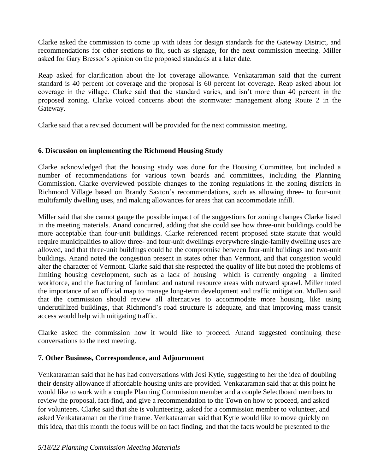Clarke asked the commission to come up with ideas for design standards for the Gateway District, and recommendations for other sections to fix, such as signage, for the next commission meeting. Miller asked for Gary Bressor's opinion on the proposed standards at a later date.

Reap asked for clarification about the lot coverage allowance. Venkataraman said that the current standard is 40 percent lot coverage and the proposal is 60 percent lot coverage. Reap asked about lot coverage in the village. Clarke said that the standard varies, and isn't more than 40 percent in the proposed zoning. Clarke voiced concerns about the stormwater management along Route 2 in the Gateway.

Clarke said that a revised document will be provided for the next commission meeting.

# **6. Discussion on implementing the Richmond Housing Study**

Clarke acknowledged that the housing study was done for the Housing Committee, but included a number of recommendations for various town boards and committees, including the Planning Commission. Clarke overviewed possible changes to the zoning regulations in the zoning districts in Richmond Village based on Brandy Saxton's recommendations, such as allowing three- to four-unit multifamily dwelling uses, and making allowances for areas that can accommodate infill.

Miller said that she cannot gauge the possible impact of the suggestions for zoning changes Clarke listed in the meeting materials. Anand concurred, adding that she could see how three-unit buildings could be more acceptable than four-unit buildings. Clarke referenced recent proposed state statute that would require municipalities to allow three- and four-unit dwellings everywhere single-family dwelling uses are allowed, and that three-unit buildings could be the compromise between four-unit buildings and two-unit buildings. Anand noted the congestion present in states other than Vermont, and that congestion would alter the character of Vermont. Clarke said that she respected the quality of life but noted the problems of limiting housing development, such as a lack of housing—which is currently ongoing—a limited workforce, and the fracturing of farmland and natural resource areas with outward sprawl. Miller noted the importance of an official map to manage long-term development and traffic mitigation. Mullen said that the commission should review all alternatives to accommodate more housing, like using underutililzed buildings, that Richmond's road structure is adequate, and that improving mass transit access would help with mitigating traffic.

Clarke asked the commission how it would like to proceed. Anand suggested continuing these conversations to the next meeting.

# **7. Other Business, Correspondence, and Adjournment**

Venkataraman said that he has had conversations with Josi Kytle, suggesting to her the idea of doubling their density allowance if affordable housing units are provided. Venkataraman said that at this point he would like to work with a couple Planning Commission member and a couple Selectboard members to review the proposal, fact-find, and give a recommendation to the Town on how to proceed, and asked for volunteers. Clarke said that she is volunteering, asked for a commission member to volunteer, and asked Venkataraman on the time frame. Venkataraman said that Kytle would like to move quickly on this idea, that this month the focus will be on fact finding, and that the facts would be presented to the